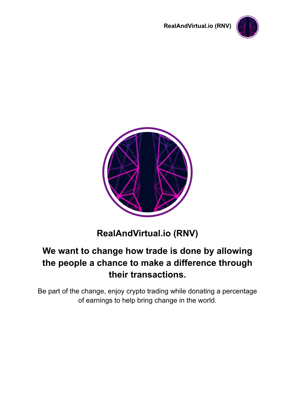





# **RealAndVirtual.io (RNV)**

# **We want to change how trade is done by allowing the people a chance to make a difference through their transactions.**

Be part of the change, enjoy crypto trading while donating a percentage of earnings to help bring change in the world.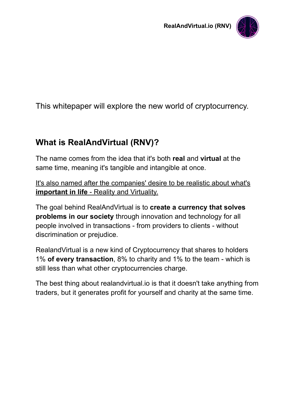

This whitepaper will explore the new world of cryptocurrency.

### **What is RealAndVirtual (RNV)?**

The name comes from the idea that it's both **real** and **virtual** at the same time, meaning it's tangible and intangible at once.

It's also named after the companies' desire to be realistic about what's **important in life** - Reality and Virtuality.

The goal behind RealAndVirtual is to **create a currency that solves problems in our society** through innovation and technology for all people involved in transactions - from providers to clients - without discrimination or prejudice.

RealandVirtual is a new kind of Cryptocurrency that shares to holders 1% **of every transaction**, 8% to charity and 1% to the team - which is still less than what other cryptocurrencies charge.

The best thing about realandvirtual.io is that it doesn't take anything from traders, but it generates profit for yourself and charity at the same time.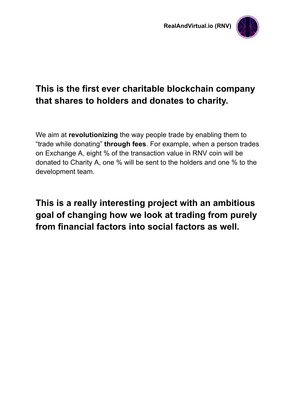

# **This is the first ever charitable blockchain company that shares to holders and donates to charity.**

We aim at **revolutionizing** the way people trade by enabling them to "trade while donating" **through fees**. For example, when a person trades on Exchange A, eight % of the transaction value in RNV coin will be donated to Charity A, one % will be sent to the holders and one % to the development team.

**This is a really interesting project with an ambitious goal of changing how we look at trading from purely from financial factors into social factors as well.**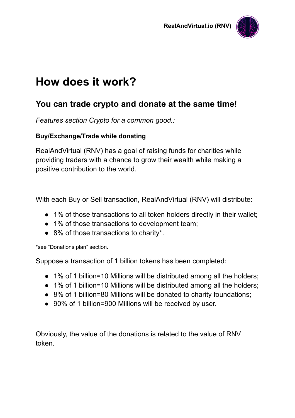

# **How does it work?**

### **You can trade crypto and donate at the same time!**

*Features section Crypto for a common good.:*

#### **Buy/Exchange/Trade while donating**

RealAndVirtual (RNV) has a goal of raising funds for charities while providing traders with a chance to grow their wealth while making a positive contribution to the world.

With each Buy or Sell transaction, RealAndVirtual (RNV) will distribute:

- 1% of those transactions to all token holders directly in their wallet;
- 1% of those transactions to development team;
- 8% of those transactions to charity\*.

\*see "Donations plan" section.

Suppose a transaction of 1 billion tokens has been completed:

- 1% of 1 billion=10 Millions will be distributed among all the holders;
- 1% of 1 billion=10 Millions will be distributed among all the holders;
- 8% of 1 billion=80 Millions will be donated to charity foundations;
- 90% of 1 billion=900 Millions will be received by user.

Obviously, the value of the donations is related to the value of RNV token.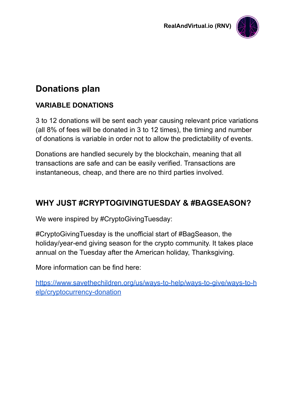

## **Donations plan**

### **VARIABLE DONATIONS**

3 to 12 donations will be sent each year causing relevant price variations (all 8% of fees will be donated in 3 to 12 times), the timing and number of donations is variable in order not to allow the predictability of events.

Donations are handled securely by the blockchain, meaning that all transactions are safe and can be easily verified. Transactions are instantaneous, cheap, and there are no third parties involved.

### **WHY JUST #CRYPTOGIVINGTUESDAY & #BAGSEASON?**

We were inspired by #CryptoGivingTuesday:

#CryptoGivingTuesday is the unofficial start of #BagSeason, the holiday/year-end giving season for the crypto community. It takes place annual on the Tuesday after the American holiday, Thanksgiving.

More information can be find here:

[https://www.savethechildren.org/us/ways-to-help/ways-to-give/ways-to-h](https://www.savethechildren.org/us/ways-to-help/ways-to-give/ways-to-help/cryptocurrency-donation) [elp/cryptocurrency-donation](https://www.savethechildren.org/us/ways-to-help/ways-to-give/ways-to-help/cryptocurrency-donation)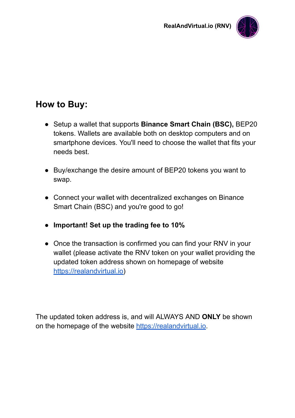

### **How to Buy:**

- Setup a wallet that supports **Binance Smart Chain (BSC),** BEP20 tokens. Wallets are available both on desktop computers and on smartphone devices. You'll need to choose the wallet that fits your needs best.
- Buy/exchange the desire amount of BEP20 tokens you want to swap.
- Connect your wallet with decentralized exchanges on Binance Smart Chain (BSC) and you're good to go!
- **● Important! Set up the trading fee to 10%**
- Once the transaction is confirmed you can find your RNV in your wallet (please activate the RNV token on your wallet providing the updated token address shown on homepage of website [https://realandvirtual.io\)](https://realandvirtual.io/)

The updated token address is, and will ALWAYS AND **ONLY** be shown on the homepage of the website [https://realandvirtual.io](https://realandvirtual.io/).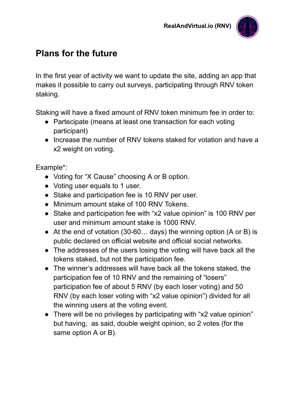

### **Plans for the future**

In the first year of activity we want to update the site, adding an app that makes it possible to carry out surveys, participating through RNV token staking.

Staking will have a fixed amount of RNV token minimum fee in order to:

- Partecipate (means at least one transaction for each voting participant)
- Increase the number of RNV tokens staked for votation and have a x2 weight on voting.

Example\*:

- Voting for "X Cause" choosing A or B option.
- Voting user equals to 1 user.
- Stake and participation fee is 10 RNV per user.
- Minimum amount stake of 100 RNV Tokens.
- Stake and participation fee with "x2 value opinion" is 100 RNV per user and minimum amount stake is 1000 RNV.
- $\bullet$  At the end of votation (30-60... days) the winning option (A or B) is public declared on official website and official social networks.
- The addresses of the users losing the voting will have back all the tokens staked, but not the participation fee.
- The winner's addresses will have back all the tokens staked, the participation fee of 10 RNV and the remaining of "losers" participation fee of about 5 RNV (by each loser voting) and 50 RNV (by each loser voting with "x2 value opinion") divided for all the winning users at the voting event.
- There will be no privileges by participating with "x2 value opinion" but having, as said, double weight opinion, so 2 votes (for the same option A or B).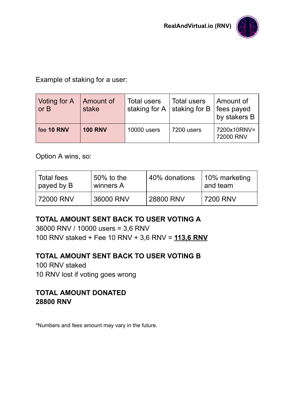

Example of staking for a user:

| Voting for A<br>or B | Amount of<br>stake | <b>Total users</b> | <b>Total users</b><br>staking for A $\vert$ staking for B | ∣ Amount of<br>fees payed<br>by stakers B |
|----------------------|--------------------|--------------------|-----------------------------------------------------------|-------------------------------------------|
| fee 10 RNV           | <b>100 RNV</b>     | <b>10000</b> users | 7200 users                                                | 7200x10RNV=<br>72000 RNV                  |

Option A wins, so:

| Total fees | $50\%$ to the | $\,$ 40% donations | 10% marketing |
|------------|---------------|--------------------|---------------|
| payed by B | winners A     |                    | and team      |
| 72000 RNV  | 36000 RNV     | 28800 RNV          | 7200 RNV      |

### **TOTAL AMOUNT SENT BACK TO USER VOTING A**

36000 RNV / 10000 users = 3,6 RNV 100 RNV staked + Fee 10 RNV + 3,6 RNV = **113,6 RNV**

### **TOTAL AMOUNT SENT BACK TO USER VOTING B**

100 RNV staked 10 RNV lost if voting goes wrong

#### **TOTAL AMOUNT DONATED 28800 RNV**

\*Numbers and fees amount may vary in the future.